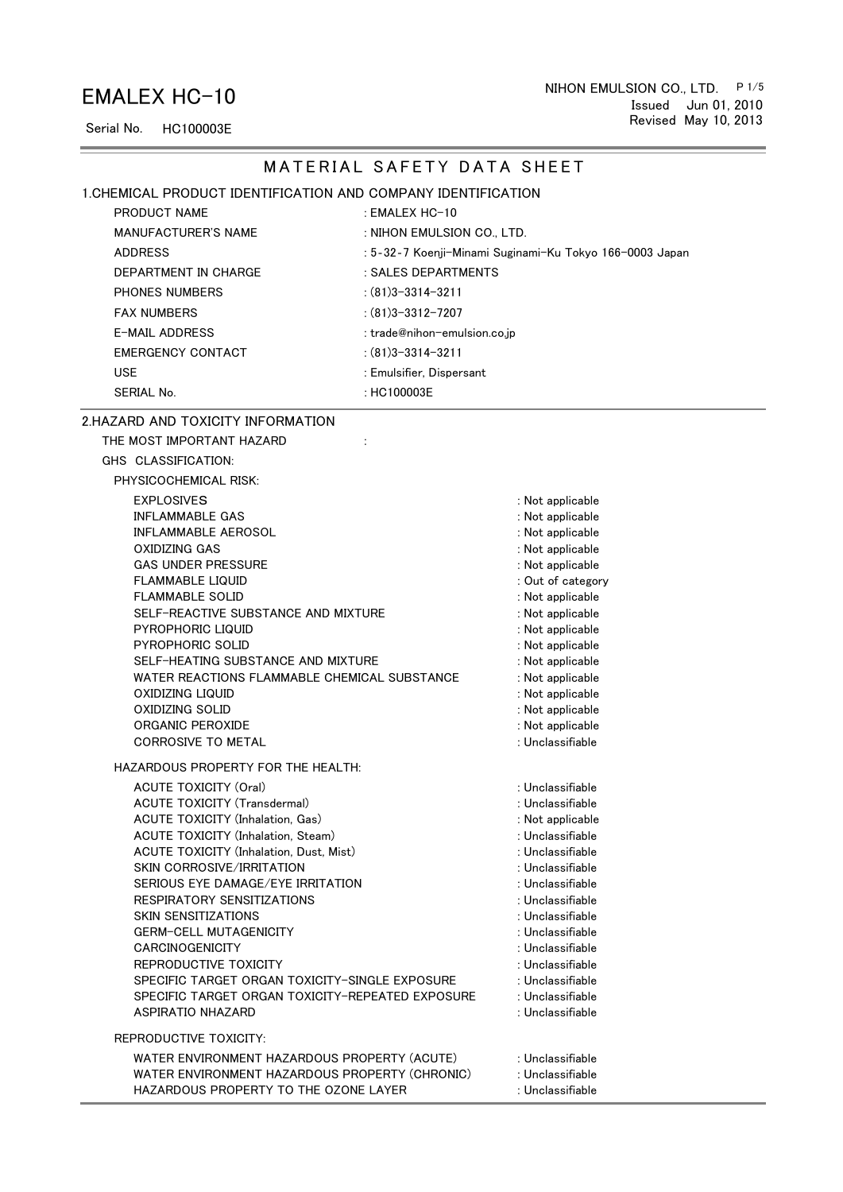## EMALEX HC-10

Serial No. HC100003E

### <u>and the company of the company of the company of the company of the company of the company of the company of the company of the company of the company of the company of the company of the company of the company of the com</u> and the control of the control of the MATERIAL SAFETY DATA SHEET 1.CHEMICAL PRODUCT IDENTIFICATION AND COMPANY IDENTIFICATION PRODUCT NAME EMALEX HC-10 MANUFACTURER'S NAME : NIHON EMULSION CO., LTD. ADDRESS : 5‐32‐7 Koenji-Minami Suginami-Ku Tokyo 166-0003 Japan DEPARTMENT IN CHARGE : SALES DEPARTMENTS PHONES NUMBERS : (81)3-3314-3211 FAX NUMBERS : (81)3-3312-7207 E-MAIL ADDRESS : trade@nihon-emulsion.co.jp EMERGENCY CONTACT : (81)3-3314-3211 : USE Emulsifier, Dispersant SERIAL No. 2008 2010 12:30 12:30 12:30 12:30 12:30 12:30 12:30 12:30 12:30 12:30 12:30 12:30 12:30 12:30 12:30 2.HAZARD AND TOXICITY INFORMATION THE MOST IMPORTANT HAZARD : GHS CLASSIFICATION: PHYSICOCHEMICAL RISK: EXPLOSIVES : Not applicable INFLAMMABLE GAS : Not applicable

| <b>INFLAMMABLE AEROSOL</b>                       | : Not applicable  |
|--------------------------------------------------|-------------------|
| <b>OXIDIZING GAS</b>                             | : Not applicable  |
| <b>GAS UNDER PRESSURE</b>                        | : Not applicable  |
| <b>FLAMMABLE LIQUID</b>                          | : Out of category |
| <b>FLAMMABLE SOLID</b>                           | : Not applicable  |
| SELF-REACTIVE SUBSTANCE AND MIXTURE              | : Not applicable  |
| PYROPHORIC LIQUID                                | : Not applicable  |
| PYROPHORIC SOLID                                 | : Not applicable  |
| SELF-HEATING SUBSTANCE AND MIXTURE               | : Not applicable  |
| WATER REACTIONS FLAMMABLE CHEMICAL SUBSTANCE     | : Not applicable  |
| <b>OXIDIZING LIQUID</b>                          | : Not applicable  |
| <b>OXIDIZING SOLID</b>                           | : Not applicable  |
| ORGANIC PEROXIDE                                 | : Not applicable  |
| <b>CORROSIVE TO METAL</b>                        | : Unclassifiable  |
| HAZARDOUS PROPERTY FOR THE HEALTH:               |                   |
| <b>ACUTE TOXICITY (Oral)</b>                     | : Unclassifiable  |
| <b>ACUTE TOXICITY (Transdermal)</b>              | : Unclassifiable  |
| <b>ACUTE TOXICITY (Inhalation, Gas)</b>          | : Not applicable  |
| <b>ACUTE TOXICITY (Inhalation, Steam)</b>        | : Unclassifiable  |
| ACUTE TOXICITY (Inhalation, Dust, Mist)          | : Unclassifiable  |
| SKIN CORROSIVE/IRRITATION                        | : Unclassifiable  |
| SERIOUS EYE DAMAGE/EYE IRRITATION                | : Unclassifiable  |
| RESPIRATORY SENSITIZATIONS                       | : Unclassifiable  |
| <b>SKIN SENSITIZATIONS</b>                       | : Unclassifiable  |
| <b>GERM-CELL MUTAGENICITY</b>                    | : Unclassifiable  |
| <b>CARCINOGENICITY</b>                           | : Unclassifiable  |
| REPRODUCTIVE TOXICITY                            | : Unclassifiable  |
| SPECIFIC TARGET ORGAN TOXICITY-SINGLE EXPOSURE   | : Unclassifiable  |
| SPECIFIC TARGET ORGAN TOXICITY-REPEATED EXPOSURE | : Unclassifiable  |
| <b>ASPIRATIO NHAZARD</b>                         | : Unclassifiable  |
| REPRODUCTIVE TOXICITY:                           |                   |
| WATER ENVIRONMENT HAZARDOUS PROPERTY (ACUTE)     | : Unclassifiable  |
| WATER ENVIRONMENT HAZARDOUS PROPERTY (CHRONIC)   | : Unclassifiable  |
| HAZARDOUS PROPERTY TO THE OZONE LAYER            | : Unclassifiable  |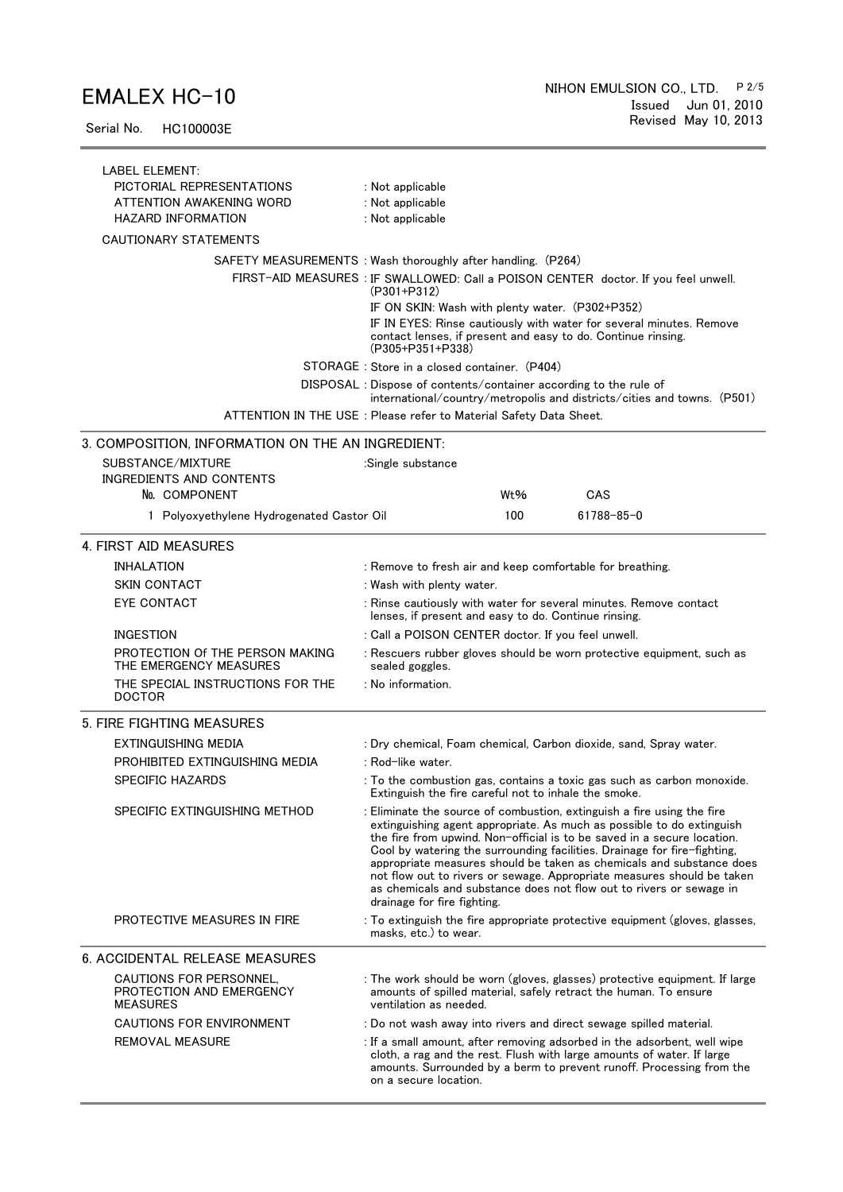Serial No. HC100003E

| LABEL ELEMENT:<br>PICTORIAL REPRESENTATIONS<br>ATTENTION AWAKENING WORD<br><b>HAZARD INFORMATION</b> | : Not applicable<br>: Not applicable<br>: Not applicable                                                                                                                                                                                                                                                                                                                                                                                                                                                                                                       |  |  |
|------------------------------------------------------------------------------------------------------|----------------------------------------------------------------------------------------------------------------------------------------------------------------------------------------------------------------------------------------------------------------------------------------------------------------------------------------------------------------------------------------------------------------------------------------------------------------------------------------------------------------------------------------------------------------|--|--|
| <b>CAUTIONARY STATEMENTS</b>                                                                         |                                                                                                                                                                                                                                                                                                                                                                                                                                                                                                                                                                |  |  |
|                                                                                                      | SAFETY MEASUREMENTS: Wash thoroughly after handling. (P264)                                                                                                                                                                                                                                                                                                                                                                                                                                                                                                    |  |  |
|                                                                                                      | FIRST-AID MEASURES : IF SWALLOWED: Call a POISON CENTER doctor. If you feel unwell.<br>$(P301 + P312)$                                                                                                                                                                                                                                                                                                                                                                                                                                                         |  |  |
|                                                                                                      | IF ON SKIN: Wash with plenty water. (P302+P352)<br>IF IN EYES: Rinse cautiously with water for several minutes. Remove<br>contact lenses, if present and easy to do. Continue rinsing.<br>$(P305+P351+P338)$                                                                                                                                                                                                                                                                                                                                                   |  |  |
|                                                                                                      | STORAGE: Store in a closed container. (P404)                                                                                                                                                                                                                                                                                                                                                                                                                                                                                                                   |  |  |
|                                                                                                      | DISPOSAL: Dispose of contents/container according to the rule of<br>$international/country/metropolis$ and districts/cities and towns. (P501)                                                                                                                                                                                                                                                                                                                                                                                                                  |  |  |
|                                                                                                      | ATTENTION IN THE USE : Please refer to Material Safety Data Sheet.                                                                                                                                                                                                                                                                                                                                                                                                                                                                                             |  |  |
| 3. COMPOSITION, INFORMATION ON THE AN INGREDIENT:                                                    |                                                                                                                                                                                                                                                                                                                                                                                                                                                                                                                                                                |  |  |
| SUBSTANCE/MIXTURE                                                                                    | :Single substance                                                                                                                                                                                                                                                                                                                                                                                                                                                                                                                                              |  |  |
| <b>INGREDIENTS AND CONTENTS</b>                                                                      |                                                                                                                                                                                                                                                                                                                                                                                                                                                                                                                                                                |  |  |
| No. COMPONENT                                                                                        | CAS<br>Wt%                                                                                                                                                                                                                                                                                                                                                                                                                                                                                                                                                     |  |  |
| 1 Polyoxyethylene Hydrogenated Castor Oil                                                            | 100<br>61788-85-0                                                                                                                                                                                                                                                                                                                                                                                                                                                                                                                                              |  |  |
| 4. FIRST AID MEASURES                                                                                |                                                                                                                                                                                                                                                                                                                                                                                                                                                                                                                                                                |  |  |
| INHALATION                                                                                           | : Remove to fresh air and keep comfortable for breathing.                                                                                                                                                                                                                                                                                                                                                                                                                                                                                                      |  |  |
| <b>SKIN CONTACT</b>                                                                                  | : Wash with plenty water.                                                                                                                                                                                                                                                                                                                                                                                                                                                                                                                                      |  |  |
| <b>EYE CONTACT</b>                                                                                   | : Rinse cautiously with water for several minutes. Remove contact<br>lenses, if present and easy to do. Continue rinsing.                                                                                                                                                                                                                                                                                                                                                                                                                                      |  |  |
| <b>INGESTION</b>                                                                                     | : Call a POISON CENTER doctor. If you feel unwell.                                                                                                                                                                                                                                                                                                                                                                                                                                                                                                             |  |  |
| PROTECTION Of THE PERSON MAKING<br>THE EMERGENCY MEASURES                                            | : Rescuers rubber gloves should be worn protective equipment, such as<br>sealed goggles.                                                                                                                                                                                                                                                                                                                                                                                                                                                                       |  |  |
| THE SPECIAL INSTRUCTIONS FOR THE<br><b>DOCTOR</b>                                                    | : No information.                                                                                                                                                                                                                                                                                                                                                                                                                                                                                                                                              |  |  |
| 5. FIRE FIGHTING MEASURES                                                                            |                                                                                                                                                                                                                                                                                                                                                                                                                                                                                                                                                                |  |  |
| EXTINGUISHING MEDIA                                                                                  | : Dry chemical, Foam chemical, Carbon dioxide, sand, Spray water.                                                                                                                                                                                                                                                                                                                                                                                                                                                                                              |  |  |
| PROHIBITED EXTINGUISHING MEDIA                                                                       | : Rod-like water.                                                                                                                                                                                                                                                                                                                                                                                                                                                                                                                                              |  |  |
| <b>SPECIFIC HAZARDS</b>                                                                              | : To the combustion gas, contains a toxic gas such as carbon monoxide.<br>Extinguish the fire careful not to inhale the smoke.                                                                                                                                                                                                                                                                                                                                                                                                                                 |  |  |
| SPECIFIC EXTINGUISHING METHOD                                                                        | : Eliminate the source of combustion, extinguish a fire using the fire<br>extinguishing agent appropriate. As much as possible to do extinguish<br>the fire from upwind. Non-official is to be saved in a secure location.<br>Cool by watering the surrounding facilities. Drainage for fire-fighting,<br>appropriate measures should be taken as chemicals and substance does<br>not flow out to rivers or sewage. Appropriate measures should be taken<br>as chemicals and substance does not flow out to rivers or sewage in<br>drainage for fire fighting. |  |  |
| PROTECTIVE MEASURES IN FIRE                                                                          | : To extinguish the fire appropriate protective equipment (gloves, glasses,<br>masks, etc.) to wear.                                                                                                                                                                                                                                                                                                                                                                                                                                                           |  |  |
| <b>6. ACCIDENTAL RELEASE MEASURES</b>                                                                |                                                                                                                                                                                                                                                                                                                                                                                                                                                                                                                                                                |  |  |
| CAUTIONS FOR PERSONNEL.<br>PROTECTION AND EMERGENCY<br><b>MEASURES</b>                               | : The work should be worn (gloves, glasses) protective equipment. If large<br>amounts of spilled material, safely retract the human. To ensure<br>ventilation as needed.                                                                                                                                                                                                                                                                                                                                                                                       |  |  |
| CAUTIONS FOR ENVIRONMENT                                                                             | : Do not wash away into rivers and direct sewage spilled material.                                                                                                                                                                                                                                                                                                                                                                                                                                                                                             |  |  |
| <b>REMOVAL MEASURE</b>                                                                               | : If a small amount, after removing adsorbed in the adsorbent, well wipe<br>cloth, a rag and the rest. Flush with large amounts of water. If large<br>amounts. Surrounded by a berm to prevent runoff. Processing from the<br>on a secure location.                                                                                                                                                                                                                                                                                                            |  |  |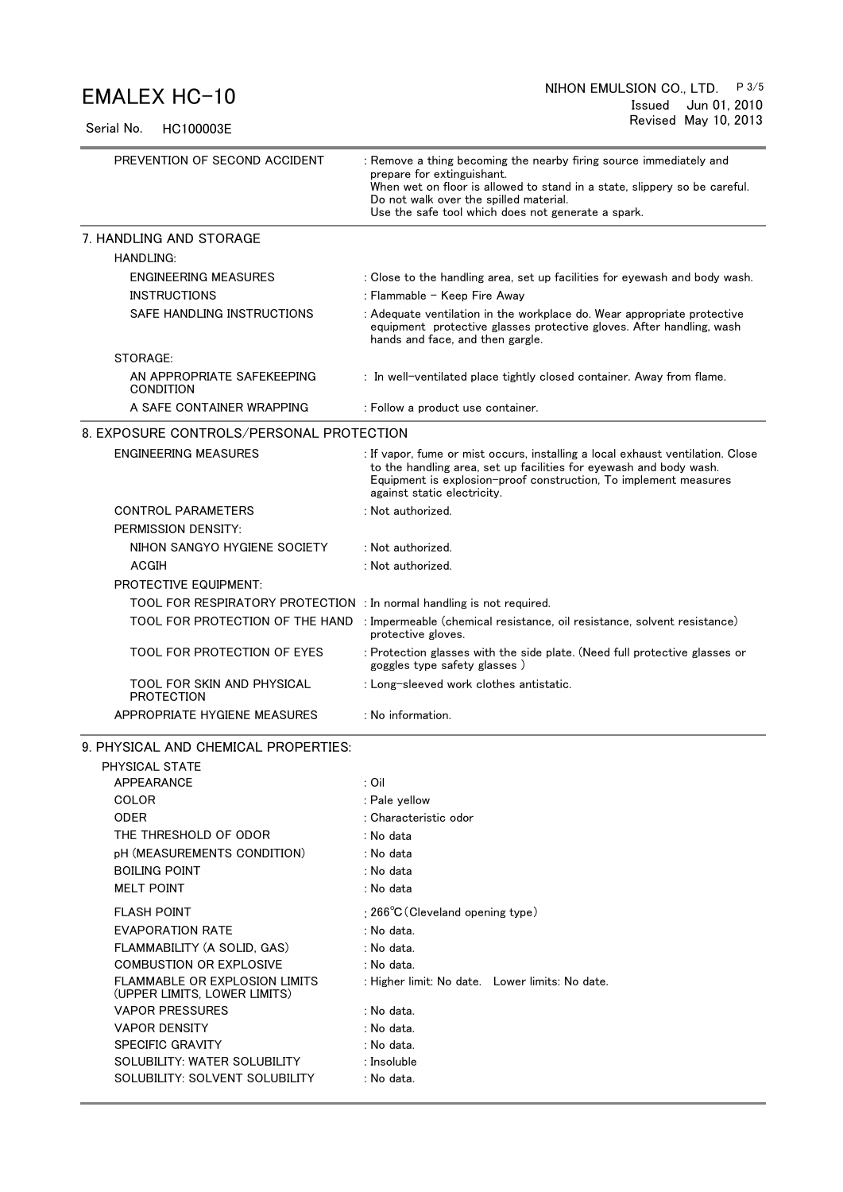Serial No. HC100003E

| PREVENTION OF SECOND ACCIDENT                                         | : Remove a thing becoming the nearby firing source immediately and<br>prepare for extinguishant.<br>When wet on floor is allowed to stand in a state, slippery so be careful.<br>Do not walk over the spilled material.<br>Use the safe tool which does not generate a spark. |  |  |  |
|-----------------------------------------------------------------------|-------------------------------------------------------------------------------------------------------------------------------------------------------------------------------------------------------------------------------------------------------------------------------|--|--|--|
| 7. HANDLING AND STORAGE                                               |                                                                                                                                                                                                                                                                               |  |  |  |
| <b>HANDLING:</b>                                                      |                                                                                                                                                                                                                                                                               |  |  |  |
| <b>ENGINEERING MEASURES</b>                                           | : Close to the handling area, set up facilities for eyewash and body wash.                                                                                                                                                                                                    |  |  |  |
| <b>INSTRUCTIONS</b>                                                   | : Flammable - Keep Fire Away                                                                                                                                                                                                                                                  |  |  |  |
| <b>SAFE HANDLING INSTRUCTIONS</b>                                     | : Adequate ventilation in the workplace do. Wear appropriate protective<br>equipment protective glasses protective gloves. After handling, wash<br>hands and face, and then gargle.                                                                                           |  |  |  |
| STORAGE:                                                              |                                                                                                                                                                                                                                                                               |  |  |  |
| AN APPROPRIATE SAFEKEEPING<br>CONDITION                               | : In well-ventilated place tightly closed container. Away from flame.                                                                                                                                                                                                         |  |  |  |
| A SAFE CONTAINER WRAPPING                                             | : Follow a product use container.                                                                                                                                                                                                                                             |  |  |  |
| 8. EXPOSURE CONTROLS/PERSONAL PROTECTION                              |                                                                                                                                                                                                                                                                               |  |  |  |
| <b>ENGINEERING MEASURES</b>                                           | : If vapor, fume or mist occurs, installing a local exhaust ventilation. Close                                                                                                                                                                                                |  |  |  |
|                                                                       | to the handling area, set up facilities for eyewash and body wash.<br>Equipment is explosion-proof construction, To implement measures<br>against static electricity.                                                                                                         |  |  |  |
| <b>CONTROL PARAMETERS</b><br>PERMISSION DENSITY:                      | : Not authorized.                                                                                                                                                                                                                                                             |  |  |  |
| NIHON SANGYO HYGIENE SOCIETY                                          | : Not authorized.                                                                                                                                                                                                                                                             |  |  |  |
| <b>ACGIH</b>                                                          | : Not authorized.                                                                                                                                                                                                                                                             |  |  |  |
| <b>PROTECTIVE EQUIPMENT:</b>                                          |                                                                                                                                                                                                                                                                               |  |  |  |
| TOOL FOR RESPIRATORY PROTECTION : In normal handling is not required. |                                                                                                                                                                                                                                                                               |  |  |  |
| TOOL FOR PROTECTION OF THE HAND                                       | : Impermeable (chemical resistance, oil resistance, solvent resistance)                                                                                                                                                                                                       |  |  |  |
|                                                                       | protective gloves.                                                                                                                                                                                                                                                            |  |  |  |
| TOOL FOR PROTECTION OF EYES                                           | : Protection glasses with the side plate. (Need full protective glasses or<br>goggles type safety glasses)                                                                                                                                                                    |  |  |  |
| TOOL FOR SKIN AND PHYSICAL<br><b>PROTECTION</b>                       | : Long-sleeved work clothes antistatic.                                                                                                                                                                                                                                       |  |  |  |
| APPROPRIATE HYGIENE MEASURES                                          | : No information.                                                                                                                                                                                                                                                             |  |  |  |
| 9. PHYSICAL AND CHEMICAL PROPERTIES:                                  |                                                                                                                                                                                                                                                                               |  |  |  |
| PHYSICAL STATE                                                        |                                                                                                                                                                                                                                                                               |  |  |  |
| APPEARANCE                                                            | : Oil                                                                                                                                                                                                                                                                         |  |  |  |
| COLOR                                                                 | : Pale yellow                                                                                                                                                                                                                                                                 |  |  |  |
| <b>ODER</b>                                                           | : Characteristic odor                                                                                                                                                                                                                                                         |  |  |  |
| THE THRESHOLD OF ODOR                                                 | : No data                                                                                                                                                                                                                                                                     |  |  |  |
| pH (MEASUREMENTS CONDITION)                                           | : No data                                                                                                                                                                                                                                                                     |  |  |  |
| <b>BOILING POINT</b>                                                  | : No data                                                                                                                                                                                                                                                                     |  |  |  |
| <b>MELT POINT</b>                                                     | : No data                                                                                                                                                                                                                                                                     |  |  |  |
| <b>FLASH POINT</b>                                                    | : $266^{\circ}$ C (Cleveland opening type)                                                                                                                                                                                                                                    |  |  |  |
| <b>EVAPORATION RATE</b>                                               | : No data.                                                                                                                                                                                                                                                                    |  |  |  |
| FLAMMABILITY (A SOLID, GAS)                                           | : No data.                                                                                                                                                                                                                                                                    |  |  |  |
| <b>COMBUSTION OR EXPLOSIVE</b>                                        | : No data.                                                                                                                                                                                                                                                                    |  |  |  |
| <b>FLAMMABLE OR EXPLOSION LIMITS</b><br>(UPPER LIMITS, LOWER LIMITS)  | : Higher limit: No date. Lower limits: No date.                                                                                                                                                                                                                               |  |  |  |
| <b>VAPOR PRESSURES</b>                                                | : No data.                                                                                                                                                                                                                                                                    |  |  |  |
| <b>VAPOR DENSITY</b>                                                  | : No data.                                                                                                                                                                                                                                                                    |  |  |  |
| SPECIFIC GRAVITY                                                      | : No data.                                                                                                                                                                                                                                                                    |  |  |  |
| SOLUBILITY: WATER SOLUBILITY                                          | : Insoluble                                                                                                                                                                                                                                                                   |  |  |  |
| SOLUBILITY: SOLVENT SOLUBILITY                                        | : No data.                                                                                                                                                                                                                                                                    |  |  |  |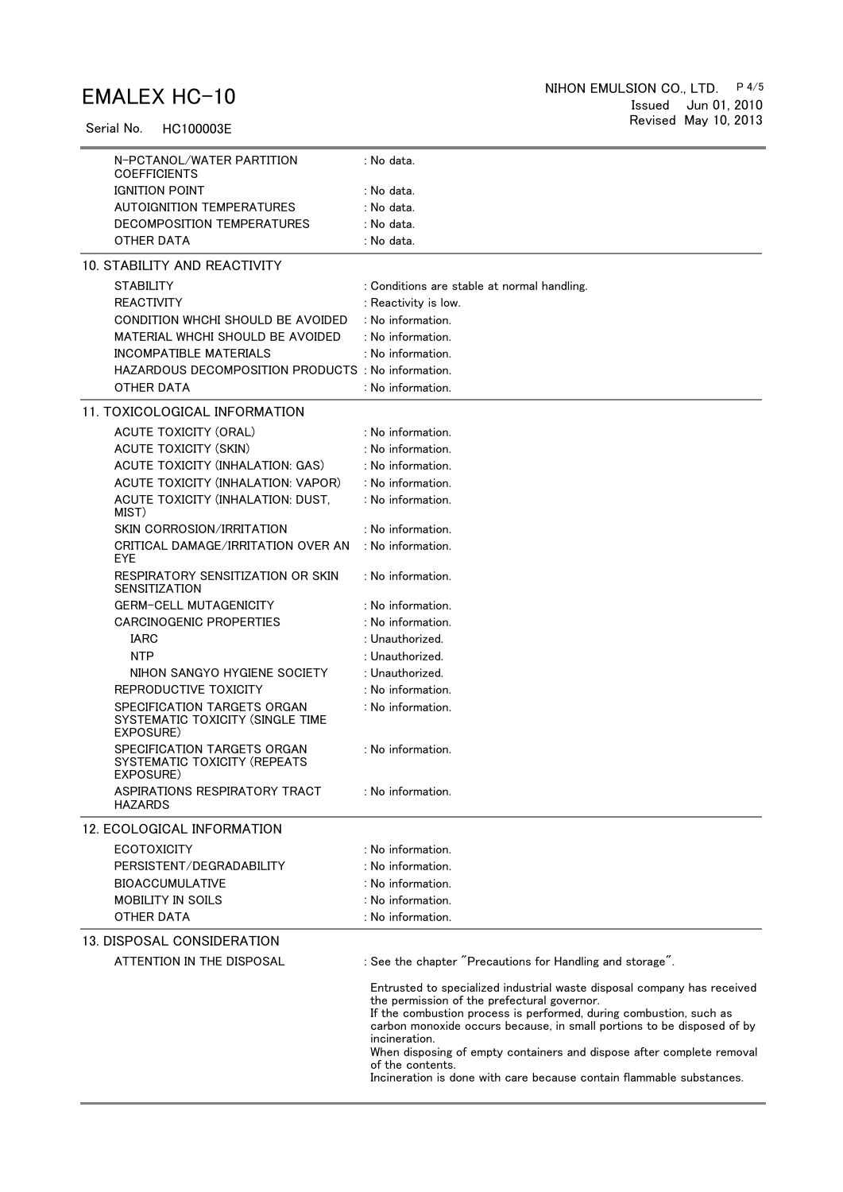Serial No. HC100003E

|                  | N-PCTANOL/WATER PARTITION<br><b>COEFFICIENTS</b>                             | : No data.                                                                                                                                                                                                                                                                                                                                                                                                                                                   |
|------------------|------------------------------------------------------------------------------|--------------------------------------------------------------------------------------------------------------------------------------------------------------------------------------------------------------------------------------------------------------------------------------------------------------------------------------------------------------------------------------------------------------------------------------------------------------|
|                  | <b>IGNITION POINT</b>                                                        | : No data.                                                                                                                                                                                                                                                                                                                                                                                                                                                   |
|                  | <b>AUTOIGNITION TEMPERATURES</b>                                             | : No data.                                                                                                                                                                                                                                                                                                                                                                                                                                                   |
|                  | DECOMPOSITION TEMPERATURES                                                   | : No data.                                                                                                                                                                                                                                                                                                                                                                                                                                                   |
|                  | OTHER DATA                                                                   | : No data.                                                                                                                                                                                                                                                                                                                                                                                                                                                   |
|                  | 10. STABILITY AND REACTIVITY                                                 |                                                                                                                                                                                                                                                                                                                                                                                                                                                              |
| <b>STABILITY</b> |                                                                              | : Conditions are stable at normal handling.                                                                                                                                                                                                                                                                                                                                                                                                                  |
|                  | <b>REACTIVITY</b>                                                            | : Reactivity is low.                                                                                                                                                                                                                                                                                                                                                                                                                                         |
|                  | CONDITION WHCHI SHOULD BE AVOIDED                                            | : No information.                                                                                                                                                                                                                                                                                                                                                                                                                                            |
|                  | MATERIAL WHCHI SHOULD BE AVOIDED                                             | : No information.                                                                                                                                                                                                                                                                                                                                                                                                                                            |
|                  | INCOMPATIBLE MATERIALS                                                       | : No information.                                                                                                                                                                                                                                                                                                                                                                                                                                            |
|                  | HAZARDOUS DECOMPOSITION PRODUCTS : No information.                           |                                                                                                                                                                                                                                                                                                                                                                                                                                                              |
|                  | OTHER DATA                                                                   | : No information.                                                                                                                                                                                                                                                                                                                                                                                                                                            |
|                  | 11. TOXICOLOGICAL INFORMATION                                                |                                                                                                                                                                                                                                                                                                                                                                                                                                                              |
|                  | <b>ACUTE TOXICITY (ORAL)</b>                                                 | : No information.                                                                                                                                                                                                                                                                                                                                                                                                                                            |
|                  | <b>ACUTE TOXICITY (SKIN)</b>                                                 | : No information.                                                                                                                                                                                                                                                                                                                                                                                                                                            |
|                  | ACUTE TOXICITY (INHALATION: GAS)                                             | : No information.                                                                                                                                                                                                                                                                                                                                                                                                                                            |
|                  | ACUTE TOXICITY (INHALATION: VAPOR)                                           | : No information.                                                                                                                                                                                                                                                                                                                                                                                                                                            |
| MIST)            | ACUTE TOXICITY (INHALATION: DUST,                                            | : No information.                                                                                                                                                                                                                                                                                                                                                                                                                                            |
|                  | SKIN CORROSION/IRRITATION                                                    | : No information.                                                                                                                                                                                                                                                                                                                                                                                                                                            |
| <b>EYE</b>       | CRITICAL DAMAGE/IRRITATION OVER AN                                           | : No information.                                                                                                                                                                                                                                                                                                                                                                                                                                            |
|                  | RESPIRATORY SENSITIZATION OR SKIN<br><b>SENSITIZATION</b>                    | : No information.                                                                                                                                                                                                                                                                                                                                                                                                                                            |
|                  | <b>GERM-CELL MUTAGENICITY</b>                                                | : No information.                                                                                                                                                                                                                                                                                                                                                                                                                                            |
|                  | <b>CARCINOGENIC PROPERTIES</b>                                               | : No information.                                                                                                                                                                                                                                                                                                                                                                                                                                            |
| IARC             |                                                                              | : Unauthorized.                                                                                                                                                                                                                                                                                                                                                                                                                                              |
| <b>NTP</b>       |                                                                              | : Unauthorized.                                                                                                                                                                                                                                                                                                                                                                                                                                              |
|                  | NIHON SANGYO HYGIENE SOCIETY                                                 | : Unauthorized.                                                                                                                                                                                                                                                                                                                                                                                                                                              |
|                  | REPRODUCTIVE TOXICITY                                                        | : No information.                                                                                                                                                                                                                                                                                                                                                                                                                                            |
|                  | SPECIFICATION TARGETS ORGAN<br>SYSTEMATIC TOXICITY (SINGLE TIME<br>EXPOSURE) | : No information.                                                                                                                                                                                                                                                                                                                                                                                                                                            |
|                  | SPECIFICATION TARGETS ORGAN<br>SYSTEMATIC TOXICITY (REPEATS<br>EXPOSURE)     | : No information.                                                                                                                                                                                                                                                                                                                                                                                                                                            |
| <b>HAZARDS</b>   | ASPIRATIONS RESPIRATORY TRACT                                                | : No information.                                                                                                                                                                                                                                                                                                                                                                                                                                            |
|                  | 12. ECOLOGICAL INFORMATION                                                   |                                                                                                                                                                                                                                                                                                                                                                                                                                                              |
|                  | <b>ECOTOXICITY</b>                                                           | : No information.                                                                                                                                                                                                                                                                                                                                                                                                                                            |
|                  | PERSISTENT/DEGRADABILITY                                                     | : No information.                                                                                                                                                                                                                                                                                                                                                                                                                                            |
|                  | <b>BIOACCUMULATIVE</b>                                                       | : No information.                                                                                                                                                                                                                                                                                                                                                                                                                                            |
|                  | <b>MOBILITY IN SOILS</b>                                                     | : No information.                                                                                                                                                                                                                                                                                                                                                                                                                                            |
|                  | OTHER DATA                                                                   | : No information.                                                                                                                                                                                                                                                                                                                                                                                                                                            |
|                  | 13. DISPOSAL CONSIDERATION                                                   |                                                                                                                                                                                                                                                                                                                                                                                                                                                              |
|                  | ATTENTION IN THE DISPOSAL                                                    | : See the chapter "Precautions for Handling and storage".                                                                                                                                                                                                                                                                                                                                                                                                    |
|                  |                                                                              | Entrusted to specialized industrial waste disposal company has received<br>the permission of the prefectural governor.<br>If the combustion process is performed, during combustion, such as<br>carbon monoxide occurs because, in small portions to be disposed of by<br>incineration.<br>When disposing of empty containers and dispose after complete removal<br>of the contents.<br>Incineration is done with care because contain flammable substances. |